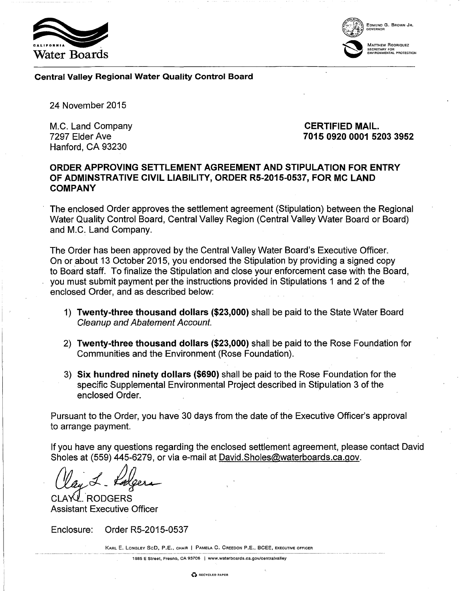



Central Valley Regional Water Quality Control Board

24 November 2015

M.C. Land Company 7297 Elder Ave Hanford, CA 93230

# CERTIFIED MAIL. 7015 0920 0001 5203 3952

# ORDER APPROVING SETTLEMENT AGREEMENT AND STIPULATION FOR ENTRY OF ADMINSTRATIVE CIVIL LIABILITY, ORDER R5-2015-0537, FOR MC LAND COMPANY

The enclosed Order approves the settlement agreement (Stipulation) between the Regional Water Quality Control Board, Central Valley Region (Central Valley Water Board or Board) and M.C. Land Company.

The Order has been approved by the Central Valley Water Board's Executive Officer. On or about 13 October 2015, you endorsed the Stipulation by providing a signed copy to Board staff. To finalize the Stipulation and close your enforcement case with the Board, you must submit payment per the instructions provided in Stipulations 1 and 2 of the enclosed Order, and as described below:

- 1) Twenty-three thousand dollars (\$23,000) shall be paid to the State Water Board Cleanup and Abatement Account.
- 2) Twenty-three thousand dollars (\$23,000) shall be paid to the Rose Foundation for Communities and the Environment (Rose Foundation).
- 3) Six hundred ninety dollars (\$690) shall be paid to the Rose Foundation for the specific Supplemental Environmental Project described in Stipulation 3 of the enclosed Order.

Pursuant to the Order, you have 30 days from the date of the Executive Officer's approval to arrange payment.

If you have any questions regarding the enclosed settlement agreement, please contact David Sholes at (559) 445-6279, or via e-mail at David.Sholes@waterboards.ca.gov.

(lay L. Lalgera

**RODGERS** Assistant Executive Officer

Enclosure: Order R5-2015-0537

KARL E. LoNGLEY SeD, P.E., CHAIR I PAMELA C. CREEDON P.E., BCEE, EXECUTIVE OFFICER

1685 E Street, Fresno, CA 93706 I www.waterboards.ca.gov/eentralvalley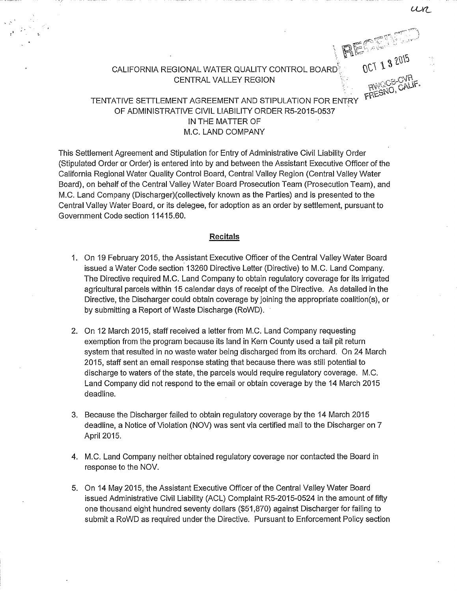CALIFORNIA REGIONAL WATER QUALITY CONTROL BOARD CENTRAL VALLEY REGION

# FRESNU, TENTATIVE SETTLEMENT AGREEMENT AND STIPULATION FOR ENTRY OF ADMINISTRATIVE CIVIL LIABILITY ORDER RS-2015-0537 IN THE MATTER OF M.C. LAND COMPANY

This Settlement Agreement and Stipulation for Entry of Administrative Civil Liability Order (Stipulated Order or Order) is entered into by and between the Assistant Executive Officer of the California Regional Water Quality Control Board, Central Valley Region (Central Valley Water Board), on behalf of the Central Valley Water Board Prosecution Team (Prosecution Team), and M.C. Land Company (Discharger)( collectively known as the Parties) and is presented to the Central Valley Water Board, or its delegee, for adoption as an order by settlement, pursuant to Government Code section 11415.60.

#### **Recitals**

- 1. On 19 February 2015, the Assistant Executive Officer of the Central Valley Water Board issued a Water Code section 13260 Directive Letter (Directive) to M.C. Land Company. The Directive required M.C. Land Company to obtain regulatory coverage for its irrigated agricultural parcels within 15 calendar days of receipt of the Directive. As detailed in the Directive, the Discharger could obtain coverage by joining the appropriate coalition(s), or by submitting a Report of Waste Discharge (RoWD).
- 2. On 12 March 2015, staff received a letter from M.C. Land Company requesting exemption from the program because its land in Kern County used a tail pit return system that resulted in no waste water being discharged from its orchard. On 24 March 2015, staff sent an email response stating that because there was still potential to discharge to waters of the state, the parcels would require regulatory coverage. M.C. Land Company did not respond to the email or obtain coverage by the 14 March 2015 deadline.
- 3. Because the Discharger failed to obtain regulatory coverage by the 14 March 2015 deadline, a Notice of Violation (NOV) was sent via certified mail to the Discharger on 7 April 2015.
- 4. M.C. Land Company neither obtained regulatory coverage nor contacted the Board in response to the NOV.
- 5. On 14 May 2015, the Assistant Executive Officer of the Central Valley Water Board issued Administrative Civil Liability (ACL) Complaint RS-2015-0524 in the amount of fifty one thousand eight hundred seventy dollars (\$51 ,870) against Discharger for failing to submit a RoWD as required under the Directive. Pursuant to Enforcement Policy section

un

OCT 1 3 2015

 $F\sim$   $F\sim$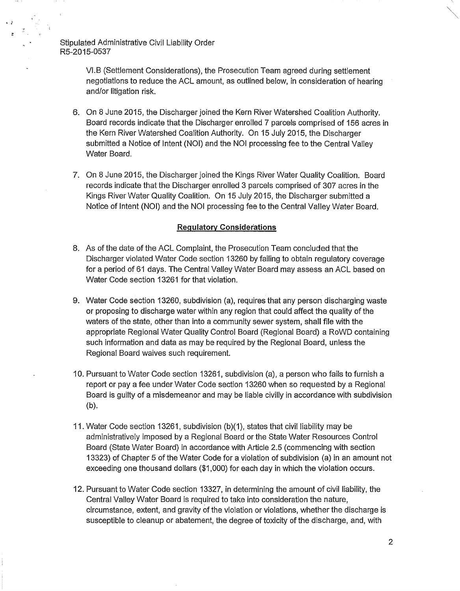' ( rr

> VI.B (Settlement Considerations), the Prosecution Team agreed during settlement negotiations to reduce the ACL amount, as outlined below, in consideration of hearing and/or litigation risk.

- 6. On 8 June 2015, the Discharger joined the Kern River Watershed Coalition Authority. Board records indicate that the Discharger enrolled 7 parcels comprised of 156 acres in the Kern River Watershed Coalition Authority. On 15 July 2015, the Discharger submitted a Notice of Intent (NOI) and the NOI processing fee to the Central Valley Water Board.
- 7. On 8 June 2015, the Discharger joined the Kings River Water Quality Coalition. Board records indicate that the Discharger enrolled 3 parcels comprised of 307 acres in the Kings River Water Quality Coalition. On 15 July 2015, the Discharger submitted a Notice of Intent (NOI) and the NOI processing fee to the Central Valley Water Board.

# **Regulatory Considerations**

- 8. As of the date of the ACL Complaint, the Prosecution Team concluded that the Discharger violated Water Code section 13260 by failing to obtain regulatory coverage for a period of 61 days. The Central Valley Water Board may assess an ACL based on Water Code section 13261 for that violation.
- 9. Water Code section 13260, subdivision (a), requires that any person discharging waste or proposing to discharge water within any region that could affect the quality of the waters of the state, other than into a community sewer system, shall file with the appropriate Regional Water Quality Control Board (Regional Board) a RoWD containing such information and data as may be required by the Regional Board, unless the Regional Board waives such requirement.
- 10. Pursuant to Water Code section 13261, subdivision (a), a person who fails to furnish a report or pay a fee under Water Code section 13260 when so requested by a Regional Board is guilty of a misdemeanor and may be liable civilly in accordance with subdivision (b).
- 11. Water Code section 13261, subdivision (b)(1), states that civil liability may be administratively imposed by a Regional Board or the State Water Resources Control Board (State Water Board) in accordance with Article 2.5 (commencing with section 13323) of Chapter 5 of the Water Code for a violation of subdivision (a) in an amount not exceeding one thousand dollars (\$1,000) for each day in which the violation occurs.
- 12. Pursuant to Water Code section 13327, in determining the amount of civil liability, the Central Valley Water Board is required to take into consideration the nature, circumstance, extent, and gravity of the violation or violations, whether the discharge is susceptible to cleanup or abatement, the degree of toxicity of the discharge, and, with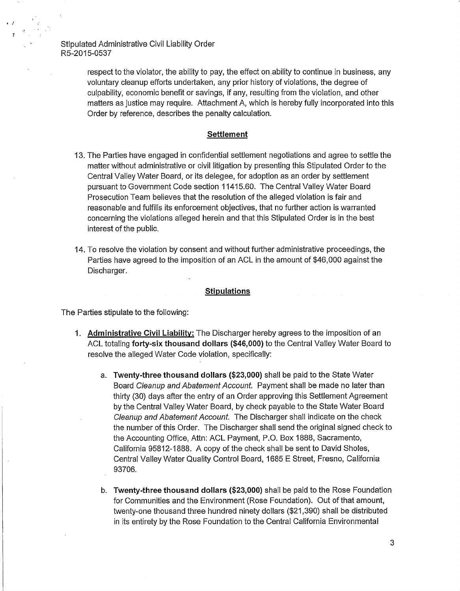$\cdot$  ,

respect to the violator, the ability to pay, the effect on ability to continue in business, any voluntary cleanup efforts undertaken, any prior history of violations, the degree of culpability, economic benefit or savings, if any, resulting from the violation, and other matters as justice may require. Attachment A, which is hereby fully incorporated into this Order by reference, describes the penalty calculation.

#### **Settlement**

- 13. The Parties have engaged in confidential settlement negotiations and agree to settle the matter without administrative or civil litigation by presenting this Stipulated Order to the Central Valley Water Board, or its delegee, for adoption as an order by settlement pursuant to Government Code section 11415.60. The Central Valley Water Board Prosecution Team believes that the resolution of the alleged violation is fair and reasonable and fulfills its enforcement objectives, that no further action is warranted concerning the violations alleged herein and that this Stipulated Order is in the best interest of the public.
- 14. To resolve the violation by consent and without further administrative proceedings, the Parties have agreed to the imposition of an ACL in the amount of \$46,000 against the Discharger.

#### **Stipulations**

The Parties stipulate to the following:

- **1. Administrative Civil Liability:** The Discharger hereby agrees to the imposition of an ACL totaling **forty-six thousand dollars (\$46,000)** to the Central Valley Water Board to resolve the alleged Water Code violation, specifically:
	- a. **Twenty-three thousand dollars (\$23,000)** shall be paid to the State Water Board Cleanup and Abatement Account. Payment shall be made no later than thirty (30) days after the entry of an Order approving this Settlement Agreement by the Central Valley Water Board, by check payable to the State Water Board Cleanup and Abatement Account. The Discharger shall indicate on the check the number of this Order. The Discharger shall send the original signed check to the Accounting Office, Attn: ACL Payment, P.O. Box 1888, Sacramento, California 95812-1888. A copy of the check shall be sent to David Sholes, Central Valley Water Quality Control Board, 1685 E Street, Fresno, California 93706.
	- b. **Twenty-three thousand dollars (\$23,000)** shall be paid to the Rose Foundation for Communities and the Environment (Rose Foundation). Out of that amount, twenty-one thousand three hundred ninety dollars (\$21,390) shall be distributed in its entirety by the Rose Foundation to the Central California Environmental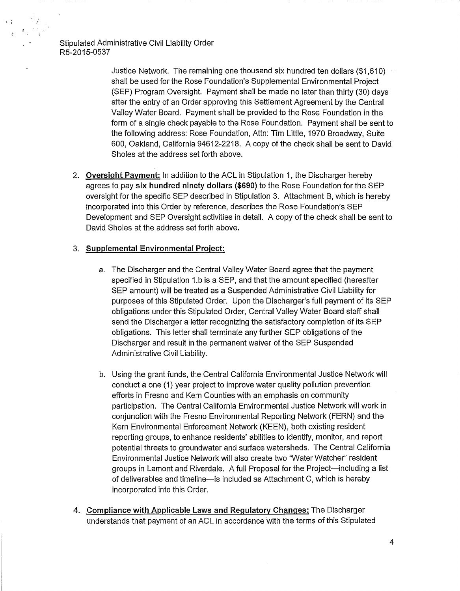';

Justice Network. The remaining one thousand six hundred ten dollars (\$1 ,610) shall be used for the Rose Foundation's Supplemental Environmental Project (SEP) Program Oversight. Payment shall be made no later than thirty (30) days after the entry of an Order approving this Settlement Agreement by the Central Valley Water Board. Payment shall be provided to the Rose Foundation in the form of a single check payable to the Rose Foundation. Payment shall be sent to the following address: Rose Foundation, Attn: Tim Little, 1970 Broadway, Suite 600, Oakland, California 94612~2218. A copy of the check shall be sent to David Sholes at the address set forth above.

2. **Oversight Payment:** In addition to the ACL in Stipulation 1, the Discharger hereby agrees to pay **six hundred ninety dollars (\$690)** to the Rose Foundation for the SEP oversight for the specific SEP described in Stipulation 3. Attachment B, which is hereby incorporated into this Order by reference, describes the Rose Foundation's SEP Development and SEP Oversight activities in detail. A copy of the check shall be sent to David Sholes at the address set forth above.

#### 3. **Supplemental Environmental Project:**

- a. The Discharger and the Central Valley Water Board agree that the payment specified in Stipulation 1.b is a SEP, and that the amount specified (hereafter SEP amount) will be treated as a Suspended Administrative Civil Liability for purposes of this Stipulated Order. Upon the Discharger's full payment of its SEP obligations under this Stipulated Order, Central Valley Water Board staff shall send the Discharger a letter recognizing the satisfactory completion of its SEP obligations. This letter shall terminate any further SEP obligations of the Discharger and result in the permanent waiver of the SEP Suspended Administrative Civil Liability.
- b. Using the grant funds, the Central California Environmental Justice Network will conduct a one (1) year project to improve water quality pollution prevention efforts in Fresno and Kern Counties with an emphasis on community participation. The Central California Environmental Justice Network will work in conjunction with the Fresno Environmental Reporting Network (FERN) and the Kern Environmental Enforcement Network (KEEN), both existing resident reporting groups, to enhance residents' abilities to identify, monitor, and report potential threats to groundwater and surface watersheds. The Central California Environmental Justice Network will also create two "Water Watcher" resident groups in Lamont and Riverdale. A full Proposal for the Project-including a list of deliverables and timeline-is included as Attachment C, which is hereby incorporated into this Order.
- 4. **Compliance with Applicable Laws and Regulatory Changes:** The Discharger understands that payment of an ACL in accordance with the terms of this Stipulated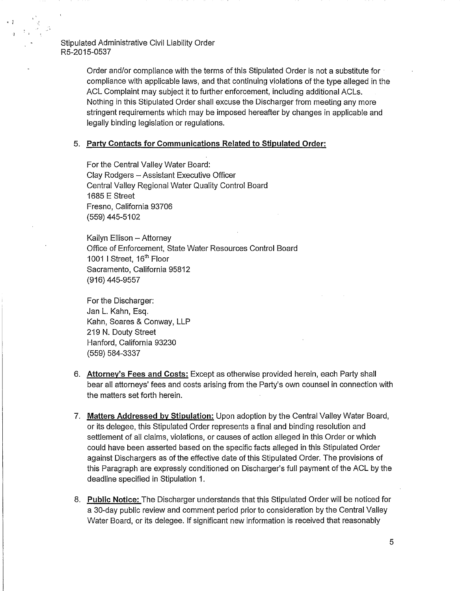> Order and/or compliance with the terms of this Stipulated Order is not a substitute for compliance with applicable laws, and that continuing violations of the type alleged in the ACL Complaint may subject it to further enforcement, including additional ACLs. Nothing in this Stipulated Order shall excuse the Discharger from meeting any more stringent requirements which may be imposed hereafter by changes in applicable and legally binding legislation or regulations.

#### 5. Party Contacts for Communications Related to Stipulated Order:

For the Central Valley Water Board: Clay Rodgers - Assistant Executive Officer Central Valley Regional Water Quality Control Board 1685 E Street Fresno, California 93706 (559) 445-5102

Kailyn Ellison - Attorney Office of Enforcement, State Water Resources Control Board 1001 I Street, 16<sup>th</sup> Floor Sacramento, California 95812 (916) 445-9557

For the Discharger: Jan L. Kahn, Esq. Kahn, Soares & Conway, LLP 219 N. Douty Street Hanford, California 93230 (559) 584-3337

- 6. Attorney's Fees and Costs: Except as otherwise provided herein, each Party shall bear all attorneys' fees and costs arising from the Party's own counsel in connection with the matters set forth herein.
- 7. Matters Addressed by Stipulation: Upon adoption by the Central Valley Water Board, or its delegee, this Stipulated Order represents a final and binding resolution and settlement of all claims, violations, or causes of action alleged in this Order or which could have been asserted based on the specific facts alleged in this Stipulated Order against Dischargers as of the effective date of this Stipulated Order. The provisions of this Paragraph are expressly conditioned on Discharger's full payment of the ACL by the deadline specified in Stipulation 1.
- 8. Public Notice: The Discharger understands that this Stipulated Order will be noticed for a 30-day public review and comment period prior to consideration by the Central Valley Water Board, or its delegee. If significant new information is received that reasonably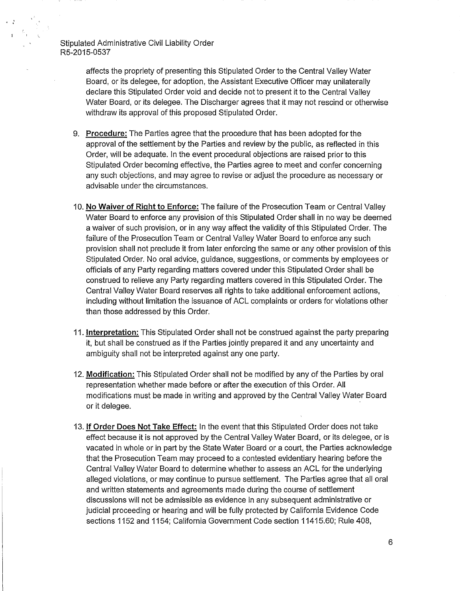> affects the propriety of presenting this Stipulated Order to the Central Valley Water Board, or its delegee, for adoption, the Assistant Executive Officer may unilaterally declare this Stipulated Order void and decide not to present it to the Central Valley Water Board, or its delegee. The Discharger agrees that it may not rescind or otherwise withdraw its approval of this proposed Stipulated Order.

- 9. Procedure: The Parties agree that the procedure that has been adopted for the approval of the settlement by the Parties and review by the public, as reflected in this Order, will be adequate. In the event procedural objections are raised prior to this Stipulated Order becoming effective, the Parties agree to meet and confer concerning any such objections, and may agree to revise or adjust the procedure as necessary or advisable under the circumstances.
- 10. No Waiver of Right to Enforce: The failure of the Prosecution Team or Central Valley Water Board to enforce any provision of this Stipulated Order shall in no way be deemed a waiver of such provision, or in any way affect the validity of this Stipulated Order. The failure of the Prosecution Team or Central Valley Water Board to enforce any such provision shall not preclude it from later enforcing the same or any other provision of this Stipulated Order. No oral advice, guidance, suggestions, or comments by employees or officials of any Party regarding matters covered under this Stipulated Order shall be construed to relieve any Party regarding matters covered in this Stipulated Order. The Central Valley Water Board reserves all rights to take additional enforcement actions, including without limitation the issuance of ACL complaints or orders for violations other than those addressed by this Order.
- 11. Interpretation: This Stipulated Order shall not be construed against the party preparing it, but shall be construed as if the Parties jointly prepared it and any uncertainty and ambiguity shall not be interpreted against any one party.
- 12. Modification: This Stipulated Order shall not be modified by any of the Parties by oral representation whether made before or after the execution of this Order. All modifications must be made in writing and approved by the Central Valley Water Board or it delegee.
- 13. If Order Does Not Take Effect: In the event that this Stipulated Order does not take effect because it is not approved by the Central Valley Water Board, or its delegee, or is vacated in whole or in part by the State Water Board or a court, the Parties acknowledge that the Prosecution Team may proceed to a contested evidentiary hearing before the Central Valley Water Board to determine whether to assess an ACL for the underlying alleged violations, or may continue to pursue settlement. The Parties agree that all oral and written statements and agreements made during the course of settlement discussions will not be admissible as evidence in any subsequent administrative or judicial proceeding or hearing and will be fully protected by California Evidence Code sections 1152 and 1154; California Government Code section 11415.60; Rule 408,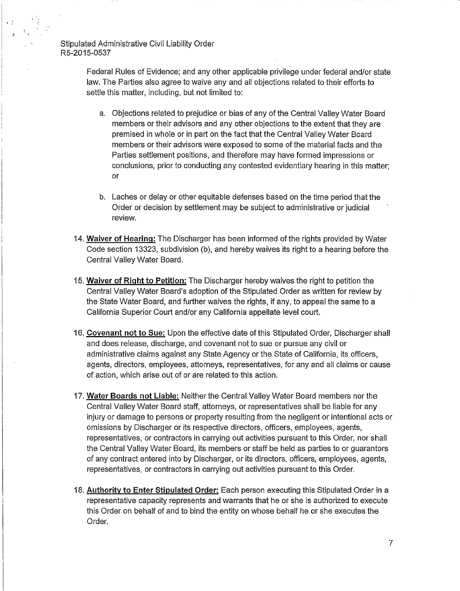$\sim$   $2$ 

Federal Rules of Evidence; and any other applicable privilege under federal and/or state law. The Parties also agree to waive any and all objections related to their efforts to settle this matter, including, but not limited to:

- a. Objections related to prejudice or bias of any of the Central Valley Water Board members or their advisors and any other objections to the extent that they are premised in whole or in part on the fact that the Central Valley Water Board members or their advisors were exposed to some of the material facts and the Parties settlement positions, and therefore may have formed impressions or conclusions, prior to conducting any contested evidentiary hearing in this matter; or
- b. Laches or delay or other equitable defenses based on the time period that the Order or decision by settlement may be subject to administrative or judicial review.
- 14. **Waiver of Hearing:** The Discharger has been informed of the rights provided by Water Code section 13323, subdivision (b), and hereby waives its right to a hearing before the Central Valley Water Board.
- 15. **Waiver of Right to Petition:** The Discharger hereby waives the right to petition the Central Valley Water Board's adoption of the Stipulated Order as written for review by the State Water Board, and further waives the rights, if any, to appeal the same to a California Superior Court and/or any California appellate level court.
- 16. **Covenant not to Sue:** Upon the effective date of this Stipulated Order, Discharger shall and does release, discharge, and covenant not to sue or pursue any civil or administrative claims against any State Agency or the State of California, its officers, agents, directors, employees, attorneys, representatives, for any and all claims or cause of action, which arise out of or are related to this action.
- 17. **Water Boards not Liable:** Neither the Central Valley Water Board members nor the Central Valley Water Board staff, attorneys, or representatives shall be liable for any injury or damage to persons or property resulting from the negligent or intentional acts or omissions by Discharger or its respective directors, officers, employees, agents, representatives, or contractors in carrying out activities pursuant to this Order, nor shall the Central Valley Water Board, its members or staff be held as parties to or guarantors of any contract entered into by Discharger, or its directors, officers, employees, agents, representatives, or contractors in carrying out activities pursuant to this Order.
- 18. **Authority to Enter Stipulated Order:** Each person executing this Stipulated Order in a representative capacity represents and warrants that he or she is authorized to execute this Order on behalf of and to bind the entity on whose behalf he or she executes the Order.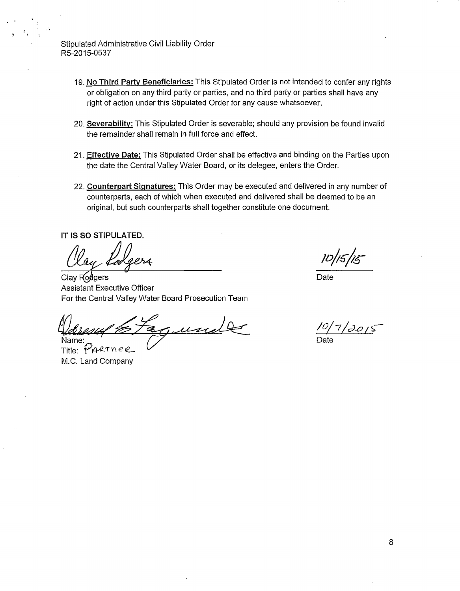- 19. **No Third Party Beneficiaries:** This Stipulated Order is not intended to confer any rights or obligation on any third party or parties, and no third party or parties shall have any right of action under this Stipulated Order for any cause whatsoever.
- 20. **Severability:** This Stipulated Order is severable; should any provision be found invalid the remainder shall remain in full force and effect.
- 21. **Effective Date:** This Stipulated Order shall be effective and binding on the Parties upon the date the Central Valley Water Board, or its delegee, enters the Order.
- 22. **Counterpart Signatures:** This Order may be executed and delivered in any number of counterparts, each of which when executed and delivered shall be deemed to be an original, but such counterparts shall together constitute one document.

**IT IS SO STIPULATED.** 

Assistant Executive Officer Clay Rodgers For the Central Valley Water Board Prosecution Team

For the Central Valley Water Board Prosecution Team<br> $\frac{1}{2}$ <br>Manne:<br>Title: PARTNER

M.C. Land Company

10/15/15

Date

 $10/7/2015$ 

Date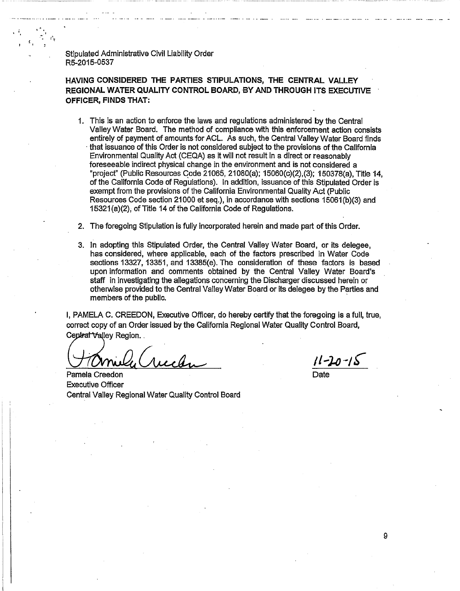$\alpha_{\rm i} = \frac{\sum_{i=1}^{N_{\rm c}}\alpha_{i}}{\mu^{N_{\rm c}}}$ 

'

**HAVING CONSIDERED THE PARTIES STIPULATIONS, THE CENTRAL VALLEY REGIONAL WATER QUALITY CONTROL BOARD, BY AND THROUGH ITS EXECUTIVE OFFICER, FINDS THAT:** 

- 1. This is an action to enforce the laws and regulations administered by the Central Valley Water Board. The method of compliance with this enforcement action consists entirely of payment of amounts for ACL. As such, the Central Valley Water Board finds · that issuance of this Order is not considered subject to the provisions of the California Environmental Quality Act (CEQA) as it will not result in a direct or reasonably foreseeable indirect physical change in the environment and is not considered a "projecf' (Public Resources Gode 21065, 21080(a); 15060(c)(2),(3); 150378(a), Title 14, of the California Code of Regulations). In addition, issuance of this Stipulated Order is exempt from the provisions of the California Environmental Quality Act (Public Resources Code section 21000 et seq.), in accordance with sections 15061 (b)(3) and 15321(a)(2); of Title 14 of the California Code of Regulations.
- 2. The foregoing Stipulation is fully incorporated herein and made part of this Order.
- 3. In adopting this Stipulated Order, the Central Valley Water Board, or its delegee, has considered, where applicable, each of the factors prescribed in Water Code sections 13327, 13351, and 13385(e). The consideration of these factors is based upon information and comments obtained by the Central Valley Water Board's staff in investigating the allegations concerning the Discharger discussed herein or otherwise provided to the Central Valley Water Board or its delegee by the Parties and members of the public.

I, PAMELA C. CREEDON, Executive Officer, do hereby certify that the foregoing is a full, true, correct copy of an Order issued by the California Regional Water Quality Control Board, Ceptral Valley Region.<br>Ceptral Valley correct copy of an Order issued by the California Regional Water Quality Control Board,

Executive Officer Central Valley Regional Water Quality Control Board

9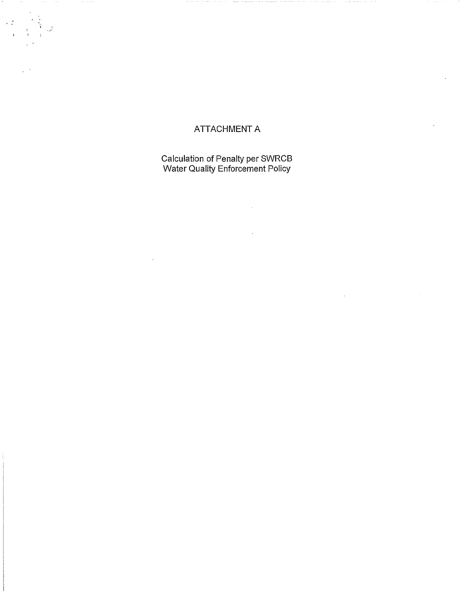# ATTACHMENT A

 $\alpha$  . If  $\beta$ 

Calculation of Penalty per SWRCB Water Quality Enforcement Policy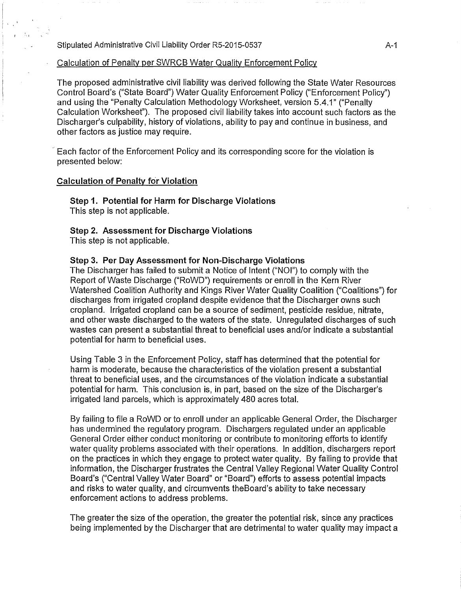# Calculation of Penalty per SWRCB Water Quality Enforcement Policy

The proposed administrative civil liability was derived following the State Water Resources Control Board's ("State Board") Water Quality Enforcement Policy ("Enforcement Policy") and using the "Penalty Calculation Methodology Worksheet, version 5.4.1" ("Penalty Calculation Worksheet"). The proposed civil liability takes into account such factors as the Discharger's culpability, history of violations, ability to pay and continue in business, and other factors as justice may require.

Each factor of the Enforcement Policy and its corresponding score for the violation is presented below:

# Calculation of Penalty for Violation

Step 1. Potential for Harm for Discharge Violations This step is not applicable.

## Step 2. Assessment for Discharge Violations

This step is not applicable.

# Step 3. Per Day Assessment for Non-Discharge Violations

The Discharger has failed to submit a Notice of Intent ("NOI") to comply with the Report of Waste Discharge ("RoWD") requirements or enroll in the Kern River Watershed Coalition Authority and Kings River Water Quality Coalition ("Coalitions") for discharges from irrigated cropland despite evidence that the Discharger owns such cropland. Irrigated cropland can be a source of sediment, pesticide residue, nitrate, and other waste discharged to the waters of the state. Unregulated discharges of such wastes can present a substantial threat to beneficial uses and/or indicate a substantial potential for harm to beneficial uses.

Using Table 3 in the Enforcement Policy, staff has determined that the potential for harm is moderate, because the characteristics of the violation present a substantial threat to beneficial uses, and the circumstances of the violation indicate a substantial potential for harm. This conclusion is, in part, based on the size of the Discharger's irrigated land parcels, which is approximately 480 acres total.

By failing to file a RoWD or to enroll under an applicable General Order, the Discharger has undermined the regulatory program. Dischargers regulated under an applicable General Order either conduct monitoring or contribute to monitoring efforts to identify water quality problems associated with their operations. In addition, dischargers report on the practices in which they engage to protect water quality. By failing to provide that information, the Discharger frustrates the Central Valley Regional Water Quality Control Board's ("Central Valley Water Board" or "Board") efforts to assess potential impacts and risks to water quality, and circumvents theBoard's ability to take necessary enforcement actions to address problems.

The greater the size of the operation, the greater the potential risk, since any practices being implemented by the Discharger that are detrimental to water quality may impact a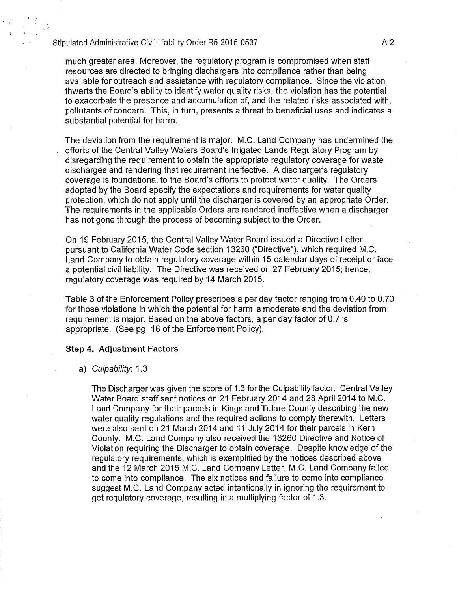much greater area. Moreover, the regulatory program is compromised when staff resources are directed to bringing dischargers into compliance rather than being available for outreach and assistance with regulatory compliance. Since the violation thwarts the Board's ability to identify water quality risks, the violation has the potential to exacerbate the presence and accumulation of, and the related risks associated with, pollutants of concern. This, in turn, presents a threat to beneficial uses and indicates a substantial potential for harm.

The deviation from the requirement is major. M.C. Land Company has undermined the efforts of the Central Valley Waters Board's Irrigated Lands Regulatory Program by disregarding the requirement to obtain the appropriate regulatory coverage for waste discharges and rendering that requirement ineffective. A discharger's regulatory coverage is foundational to the Board's efforts to protect water quality. The Orders adopted by the Board specify the expectations and requirements for water quality protection, which do not apply until the discharger is covered by an appropriate Order. The requirements in the applicable Orders are rendered ineffective when a discharger has not gone through the process of becoming subject to the Order.

On 19 February 2015, the Central Valley Water Board issued a Directive Letter pursuant to California Water Code section 13260 ("Directive"), which required M.C. Land Company to obtain regulatory coverage within 15 calendar days of receipt or face a potential civil liability. The Directive was received on 27 February 2015; hence, regulatory coverage was required by 14 March 2015.

Table 3 of the Enforcement Policy prescribes a per day factor ranging from 0.40 to 0.70 for those violations in which the potential for harm is moderate and the deviation from requirement is major. Based on the above factors, a per day factor of 0.7 is appropriate. (See pg. 16 of the Enforcement Policy).

# **Step 4. Adjustment Factors** ·

#### a) Culpability: 1.3

The Discharger was given the score of 1.3 for the Culpability factor. Central Valley Water Board staff sent notices on 21 February 2014 and 28 April 2014 to M.C. Land Company for their parcels in Kings and Tulare County describing the new water quality regulations and the required actions to comply therewith. Letters were also sent on 21 March 2014 and 11 July 2014 for their parcels in Kern County. M.C. Land Company also received the 13260 Directive and Notice of Violation requiring the Discharger to obtain coverage. Despite knowledge of the regulatory requirements, which is exemplified by the notices described above and the 12 March 2015 M.C. Land Company Letter, M.C. Land Company failed to come into compliance. The six notices and failure to come into compliance suggest M.C. Land Company acted intentionally in ignoring the requirement to get regulatory coverage, resulting in a multiplying factor of 1.3.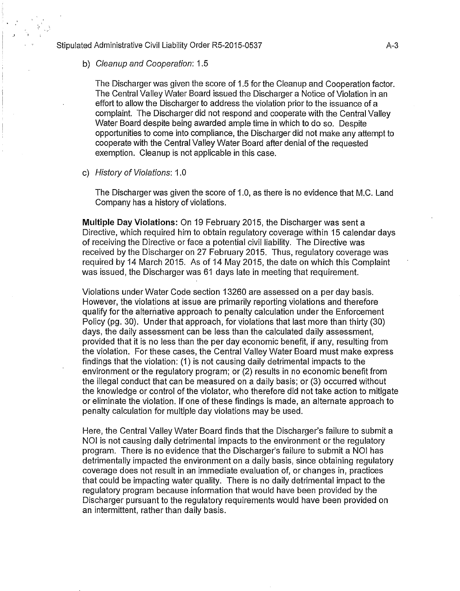#### b) Cleanup and Cooperation: 1.5

,\_,·

The Discharger was given the score of 1.5 for the Cleanup and Cooperation factor. The Central Valley Water Board issued the Discharger a Notice of Violation in an effort to allow the Discharger to address the violation prior to the issuance of a complaint. The Discharger did not respond and cooperate with the Central Valley Water Board despite being awarded ample time in which to do so. Despite opportunities to come into compliance, the Discharger did not make any attempt to cooperate with the Central Valley Water Board after denial of the requested exemption. Cleanup is not applicable in this case.

## c) History of Violations: 1.0

The Discharger was given the score of 1.0, as there is no evidence that M.C. Land Company has a history of violations.

**Multiple Day Violations:** On 19 February 2015, the Discharger was sent a Directive, which required him to obtain regulatory coverage within 15 calendar days of receiving the Directive or face a potential civil liability. The Directive was received by the Discharger on 27 February 2015. Thus, regulatory coverage was required by 14 March 2015. As of 14 May 2015, the date on which this Complaint was issued, the Discharger was 61 days late in meeting that requirement.

Violations under Water Code section 13260 are assessed on a per day basis. However, the violations at issue are primarily reporting violations and therefore qualify for the alternative approach to penalty calculation under the Enforcement Policy (pg. 30). Under that approach, for violations that last more than thirty (30) days, the daily assessment can be less than the calculated daily assessment, provided that it is no less than the per day economic benefit, if any, resulting from the violation. For these cases, the Central Valley Water Board must make express findings that the violation: (1) is not causing daily detrimental impacts to the environment or the regulatory program; or (2) results in no economic benefit from the illegal conduct that can be measured on a daily basis; or (3) occurred without the knowledge or control of the violator, who therefore did not take action to mitigate or eliminate the violation. If one of these findings is made, an alternate approach to penalty calculation for multiple day violations may be used.

Here, the Central Valley Water Board finds that the Discharger's failure to submit a NOI is not causing daily detrimental impacts to the environment or the regulatory program. There is no evidence that the Discharger's failure to submit a NOI has detrimentally impacted the environment on a daily basis, since obtaining regulatory coverage does not result in an immediate evaluation of, or changes in, practices that could be impacting water quality. There is no daily detrimental impact to the regulatory program because information that would have been provided by the Discharger pursuant to the regulatory requirements would have been provided on an intermittent, rather than daily basis.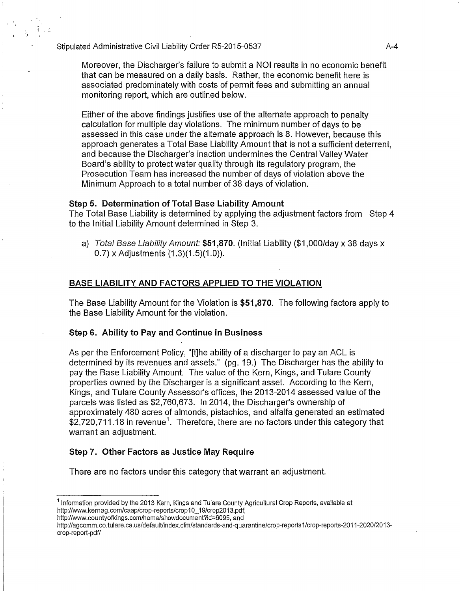Moreover, the Discharger's failure to submit a NOI results in no economic benefit that can be measured on a daily basis. Rather, the economic benefit here is associated predominately with costs of permit fees and submitting an annual monitoring report, which are outlined below.

Either of the above findings justifies use of the alternate approach to penalty calculation for multiple day violations. The minimum number of days to be assessed in this case under the alternate approach is 8. However, because this approach generates a Total Base Liability Amount that is not a sufficient deterrent, and because the Discharger's inaction undermines the Central Valley Water Board's ability to protect water quality through its regulatory program, the Prosecution Team has increased the number of days of violation above the Minimum Approach to a total number of 38 days of violation.

# **Step 5. Determination of Total Base Liability Amount**

The Total Base Liability is determined by applying the adjustment factors from Step 4 to the Initial Liability Amount determined in Step 3.

a) Total Base Liability Amount: **\$51,870.** (Initial Liability (\$1 ,000/day x 38 days x 0.7) x Adjustments (1.3)(1.5)(1.0)).

# **BASE LIABILITY AND FACTORS APPLIED TO THE VIOLATION**

The Base Liability Amount for the Violation is **\$51,870.** The following factors apply to the Base Liability Amount for the violation.

# **Step 6. Ability to Pay and Continue in Business**

As per the Enforcement Policy, "[t]he ability of a discharger to pay an ACL is determined by its revenues and assets." (pg. 19.) The Discharger has the ability to pay the Base Liability Amount. The value of the Kern, Kings, and Tulare County properties owned by the Discharger is a significant asset. According to the Kern, Kings, and Tulare County Assessor's offices, the 2013-2014 assessed value of the parcels was listed as \$2,760,673. In 2014, the Discharger's ownership of approximately 480 acres of almonds, pistachios, and alfalfa generated an estimated  $$2,720,711.18$  in revenue<sup>1</sup>. Therefore, there are no factors under this category that warrant an adjustment.

# **Step 7. Other Factors as Justice May Require**

There are no factors under this category that warrant an adjustment.

<sup>&</sup>lt;sup>1</sup> Information provided by the 2013 Kern, Kings and Tulare County Agricultural Crop Reports, available at http://www.kernag.com/caap/crop-reports/crop10\_19/crop2013.pdf,

http://www.countyofkings.com/home/showdocument?id=6095, and

http://agcomm.co.tulare.ca.us/default/index.cfm/standards-and-quarantine/crop-reports1/crop-reports-2011-2020/2013crop-report-pdf/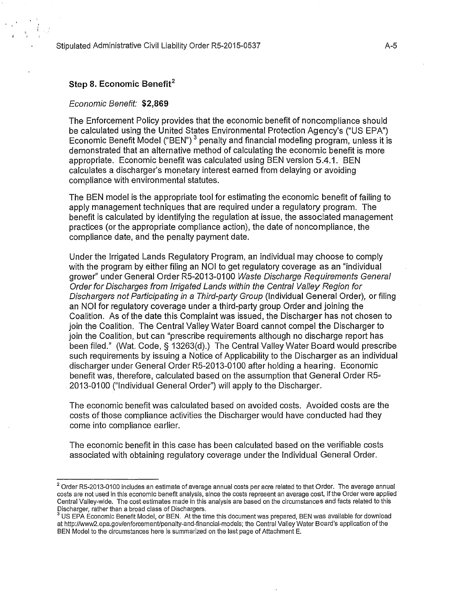# Step 8. Economic Benefit<sup>2</sup>

# Economic Benefit: \$2,869

The Enforcement Policy provides that the economic benefit of noncompliance should be calculated using the United States Environmental Protection Agency's ("US EPA") Economic Benefit Model ("BEN")<sup>3</sup> penalty and financial modeling program, unless it is demonstrated that an alternative method of calculating the economic benefit is more appropriate. Economic benefit was calculated using BEN version 5.4.1. BEN calculates a discharger's monetary interest earned from delaying or avoiding compliance with environmental statutes.

The BEN model is the appropriate tool for estimating the economic benefit of failing to apply management techniques that are required under a regulatory program. The benefit is calculated by identifying the regulation at issue, the associated management practices (or the appropriate compliance action), the date of noncompliance, the compliance date, and the penalty payment date.

Under the Irrigated Lands Regulatory Program, an individual may choose to comply with the program by either filing an NOI to get regulatory coverage as an "individual grower" under General Order RS-2013-01 00 Waste Discharge Requirements General Order for Discharges from Irrigated Lands within the Central Valley Region for Dischargers not Participating in a Third-party Group (Individual General Order), or filing an NOI for regulatory coverage under a third-party group Order and joining the Coalition. As of the date this Complaint was issued, the Discharger has not chosen to join the Coalition. The Central Valley Water Board cannot compel the Discharger to join the Coalition, but can "prescribe requirements although no discharge report has been filed." (Wat. Code, § 13263(d).) The Central Valley Water Board would prescribe such requirements by issuing a Notice of Applicability to the Discharger as an individual discharger under General Order RS-2013-0100 after holding a hearing. Economic benefit was, therefore, calculated based on the assumption that General Order R5-2013-0100 ("Individual General Order") will apply to the Discharger.

The economic benefit was calculated based on avoided costs. Avoided costs are the costs of those compliance activities the Discharger would have conducted had they come into compliance earlier.

The economic benefit in this case has been calculated based on the verifiable costs associated with obtaining regulatory coverage under the Individual General Order.

<sup>&</sup>lt;sup>2</sup> Order R5-2013-0100 includes an estimate of average annual costs per acre related to that Order. The average annual costs are not used in this economic benefit analysis, since the costs represent an average cost, if the Order were applied Central Valley-wide. The cost estimates made in this analysis are based on the circumstances and facts related to this

 $^3$  US EPA Economic Benefit Model, or BEN. At the time this document was prepared, BEN was available for download at http://www2.epa.gov/enforcement/penalty-and-financial-models; the Central Valley Water Board's application of the BEN Model to the circumstances here is summarized on the last page of Attachment E.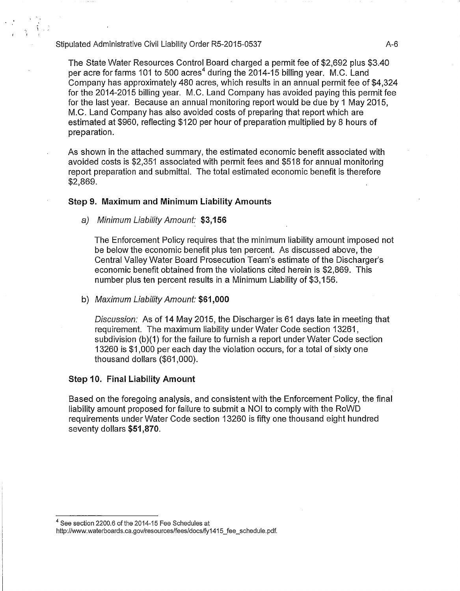., '

> The State Water Resources Control Board charged a permit fee of \$2,692 plus \$3.40 per acre for farms 101 to 500 acres<sup>4</sup> during the 2014-15 billing year. M.C. Land Company has approximately 480 acres, which results in an annual permit fee of \$4,324 for the 2014-2015 billing year. M.C. Land Company has avoided paying this permit fee for the last year. Because an annual monitoring report would be due by 1 May 2015, M.G. Land Company has also avoided costs of preparing that report which are estimated at \$960, reflecting \$120 per hour of preparation multiplied by 8 hours of preparation.

As shown in the attached summary, the estimated economic benefit associated with avoided costs is \$2,351 associated with permit fees and \$518 for annual monitoring report preparation and submittal. The total estimated economic benefit is therefore \$2,869.

# **Step 9. Maximum and Minimum Liability Amounts**

a) Minimum Liability Amount: **\$3,156** 

The Enforcement Policy requires that the minimum liability amount imposed not be below the economic benefit plus ten percent. As discussed above, the Central Valley Water Board Prosecution Team's estimate of the Discharger's economic benefit obtained from the violations cited herein is \$2,869. This number plus ten percent results in a Minimum Liability of \$3,156.

## b) Maximum Liability Amount: **\$61,000**

Discussion: As of 14 May 2015, the Discharger is 61 days late in meeting that requirement. The maximum liability under Water Code section 13261, subdivision  $(b)(1)$  for the failure to furnish a report under Water Code section 13260 is \$1 ,000 per each day the violation occurs, for a total of sixty one thousand dollars (\$61 ,000).

# **Step 10. Final Liability Amount**

Based on the foregoing analysis, and consistent with the Enforcement Policy, the final liability amount proposed for failure to submit a NOI to comply with the RoWD requirements under Water Code section 13260 is fifty one thousand eight hundred seventy dollars **\$51,870.** 

<sup>4</sup> See section 2200.6 of the 2014-15 Fee Schedules at

http://www.waterboards.ca.gov/resources/fees/docs/fy1415\_fee\_schedule.pdf.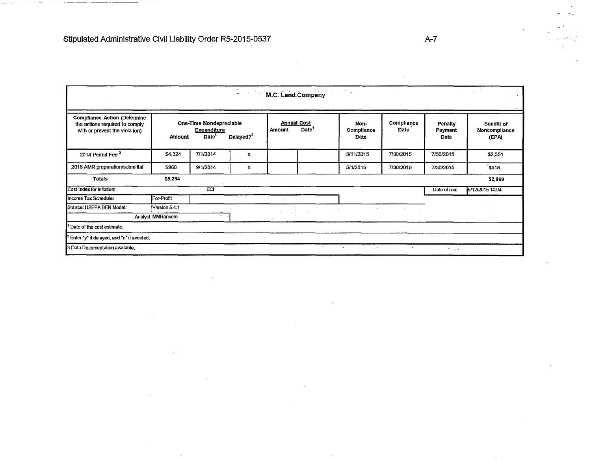| <b>M.C. Land Company</b><br>$\Delta \phi = 0.5$<br>$\sim$<br>$\sim$<br>$\cdot$ .                                                                       |               |                                                                    |                       |               |                                         |                            |                    |                            |                                      |
|--------------------------------------------------------------------------------------------------------------------------------------------------------|---------------|--------------------------------------------------------------------|-----------------------|---------------|-----------------------------------------|----------------------------|--------------------|----------------------------|--------------------------------------|
| <b>Compliance Action (Determine</b><br>the actions required to comply<br>with or prevent the viola ion)                                                | <b>Amount</b> | One-Time Nondepreciable<br><b>Expenditure</b><br>Date <sup>1</sup> | Delayed? <sup>2</sup> | <b>Amount</b> | <b>Annual Cost</b><br>Date <sup>1</sup> | Non-<br>Compliance<br>Date | Compliance<br>Date | Penalty<br>Payment<br>Date | Benefit of<br>Noncompliance<br>(EPA) |
| 2014 Permit Fee <sup>3</sup>                                                                                                                           | \$4,324       | 7/1/2014                                                           | n                     |               |                                         | 3/11/2015                  | 7/30/2015          | 7/30/2015                  | \$2,351                              |
| 2015 AMR preparation/submittal                                                                                                                         | \$960         | 9/1/2014                                                           | n                     |               |                                         | 5/1/2015                   | 7/30/2015          | 7/30/2015                  | \$518                                |
| <b>Totals</b>                                                                                                                                          | \$5,284       |                                                                    |                       |               |                                         |                            |                    |                            | \$2,869                              |
| Cost Index for Inflation:                                                                                                                              |               | ECI                                                                |                       |               |                                         |                            |                    | Date of run:               | 5/12/2015 14:04                      |
| Income Tax Schedule:                                                                                                                                   | For-Profit    |                                                                    |                       |               |                                         |                            |                    |                            |                                      |
| Source: USEPA BEN Model:                                                                                                                               | Version 5.4.1 |                                                                    |                       |               |                                         | $\sim$                     | $\sim$ $\sim$      |                            |                                      |
| Analyst MMRansom                                                                                                                                       |               |                                                                    |                       | $\sim$ $\sim$ |                                         |                            |                    |                            |                                      |
| Date of the cost estimate.                                                                                                                             |               |                                                                    |                       |               |                                         |                            |                    |                            |                                      |
| Enter "y" if delayed, and "n" if avoided.                                                                                                              |               |                                                                    |                       |               |                                         |                            |                    |                            |                                      |
| $\mathcal{L}^{\star}$ .<br>3 Data Documentation available.<br>the ac-<br>$\sim$ $ \sim$<br>$\mathbf{r}$<br>$\mathcal{O}(10^6)$ and $\mathcal{O}(10^6)$ |               |                                                                    |                       |               |                                         |                            |                    |                            |                                      |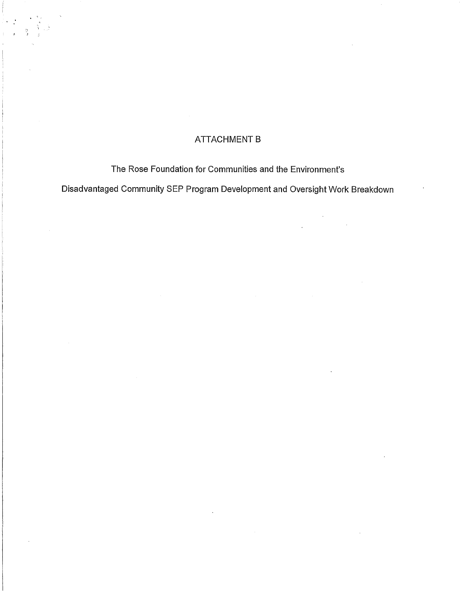# ATTACHMENT B

'J J

The Rose Foundation for Communities and the Environment's

Disadvantaged Community SEP Program Development and Oversight Work Breakdown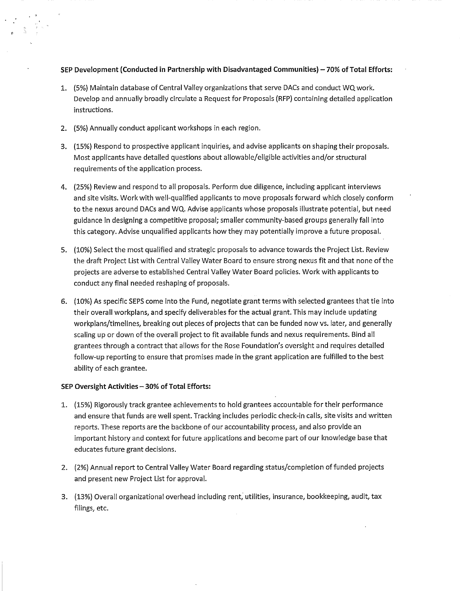## **SEP Development (Conducted in Partnership with Disadvantaged Communities) - 70% of Total Efforts:**

- 1. (5%) Maintain database of Central Valley organizations that serve DACs and conduct WQ work. Develop and annually broadly circulate a Request for Proposals (RFP) containing detailed application instructions.
- 2. (5%) Annually conduct applicant workshops in each region.
- 3. (15%) Respond to prospective applicant inquiries, and advise applicants on shaping their proposals. Most applicants have detailed questions about allowable/eligible activities and/or structural requirements of the application process.
- 4. (25%) Review and respond to all proposals. Perform due diligence, including applicant interviews and site visits. Work with well-qualified applicants to move proposals forward which closely conform to the nexus around DACs and WQ. Advise applicants whose proposals illustrate potential, but need guidance in designing a competitive proposal; smaller community-based groups generally fall into this category. Advise unqualified applicants how they may potentially improve a future proposal.
- 5. (10%) Select the most qualified and strategic proposals to advance towards the Project List. Review the draft Project List with Central Valley Water Board to ensure strong nexus fit and that none of the projects are adverse to established Central Valley Water Board policies. Work with applicants to conduct any final needed reshaping of proposals.
- 6. (10%) As specific SEPS come into the Fund, negotiate grant terms with selected grantees that tie into their overall workplans, and specify deliverables for the actual grant. This may include updating workplans/timelines, breaking out pieces of projects that can be funded now vs. later, and generally scaling up or down of the overall project to fit available funds and nexus requirements. Bind all grantees through a contract that allows for the Rose Foundation's oversight and requires detailed follow-up reporting to ensure that promises made in the grant application are fulfilled to the best ability of each grantee.

#### **SEP Oversight Activities- 30% of Total Efforts:**

- 1. (15%) Rigorously track grantee achievements to hold grantees accountable for their performance and ensure that funds are well spent. Tracking includes periodic check-in calls, site visits and written reports. These reports are the backbone of our accountability process, and also provide an important history and context for future applications and become part of our knowledge base that educates future grant decisions.
- 2. (2%) Annual report to Central Valley Water Board regarding status/completion of funded projects and present new Project List for approval.
- 3. (13%) Overall organizational overhead including rent, utilities, insurance, bookkeeping, audit, tax filings, etc.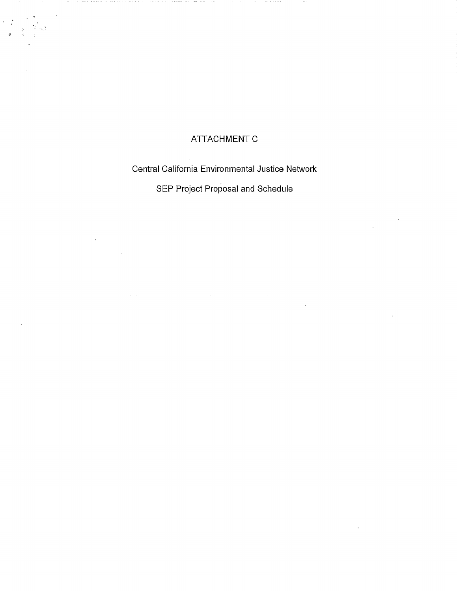# **ATTACHMENT C**

 $\mathbb{R}^{\mathbb{Z}^{\times}}$ 

# Central California Environmental Justice Network

SEP Project Proposal and Schedule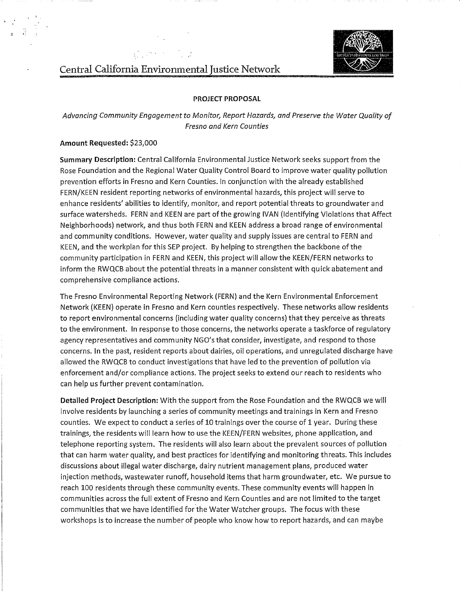

# Central California Environmental Justice Network

#### **PROJECT PROPOSAL**

*Advancing Community Engagement to Monitor, Report Hazards, and Preserve the Water Quality of Fresno and Kern Counties* 

#### **Amount Requested:** \$23,000

 $\ddot{\phantom{a}}$ 

**Summary Description:** Central California Environmental Justice Network seeks support from the Rose Foundation and the Regional Water Quality Control Board to improve water quality pollution prevention efforts in Fresno and Kern Counties. In conjunction with the already established FERN/KEEN resident reporting networks of environmental hazards, this project will serve to enhance residents' abilities to identify, monitor, and report potential threats to groundwater and surface watersheds. FERN and KEEN are part of the growing IVAN (Identifying Violations that Affect Neighborhoods) network, and thus both FERN and KEEN address a broad range of environmental and community conditions. However, water quality and supply issues are central to FERN and KEEN, and the workplan for this SEP project. By helping to strengthen the backbone of the community participation in FERN and KEEN, this project will allow the KEEN/FERN networks to inform the RWQCB about the potential threats in a manner consistent with quick abatement and comprehensive compliance actions.

The Fresno Environmental Reporting Network (FERN) and the Kern Environmental Enforcement Network (KEEN) operate in Fresno and Kern counties respectively. These networks allow residents to report environmental concerns (including water quality concerns) that they perceive as threats to the environment. In response to those concerns, the networks operate a taskforce of regulatory agency representatives and community NGO's that consider, investigate, and respond to those concerns. In the past, resident reports about dairies, oil operations, and unregulated discharge have allowed the RWQCB to conduct investigations that have led to the prevention of pollution via enforcement and/or compliance actions. The project seeks to extend our reach to residents who can help us further prevent contamination.

**Detailed Project Description:** With the support from the Rose Foundation and the RWQCB we will involve residents by launching a series of community meetings and trainings in Kern and Fresno counties. We expect to conduct a series of 10 trainings over the course of 1 year. During these trainings, the residents will learn how to use the KEEN/FERN websites, phone application, and telephone reporting system. The residents will also learn about the prevalent sources of pollution that can harm water quality, and best practices for identifying and monitoring threats. This includes discussions about illegal water discharge, dairy nutrient management plans, produced water injection methods, wastewater runoff, household items that harm groundwater, etc. We pursue to reach 100 residents through these community events. These community events will happen in communities across the full extent of Fresno and Kern Counties and are not limited to the target communities that we have identified for the Water Watcher groups. The focus with these workshops is to increase the number of people who know how to report hazards, and can maybe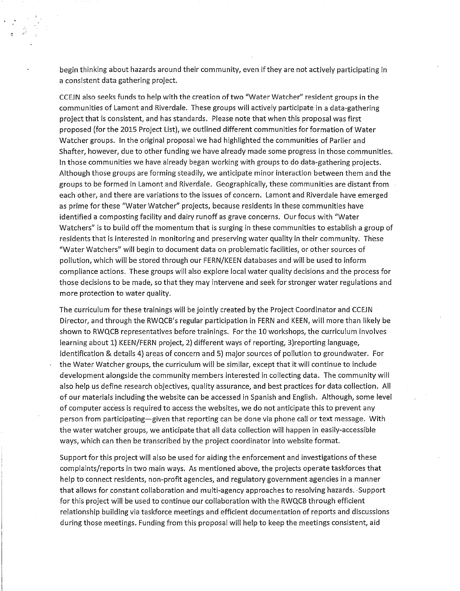begin thinking about hazards around their community, even ifthey are not actively participating in a consistent data gathering project.

CCEJN also seeks funds to help with the creation of two "Water Watcher" resident groups in the communities of Lamont and Riverdale. These groups will actively participate in a data-gathering project that is consistent, and has standards. Please note that when this proposal was first proposed (for the 2015 Project List), we outlined different communities for formation of Water Watcher groups. In the original proposal we had highlighted the communities of Parlier and Shafter, however, due to other funding we have already made some progress in those communities. In those communities we have already began working with groups to do data-gathering projects. Although those groups are forming steadily, we anticipate minor interaction between them and the groups to be formed in Lamont and Riverdale. Geographically, these communities are distant from each other, and there are variations to the issues of concern. Lamont and Riverdale have emerged as prime for these "Water Watcher" projects, because residents in these communities have identified a composting facility and dairy runoff as grave concerns. Our focus with "Water Watchers" is to build off the momentum that is surging in these communities to establish a group of residents that is interested in monitoring and preserving water quality in their community. These "Water Watchers" will begin to document data on problematic facilities, or other sources of pollution, which will be stored through our FERN/KEEN databases and will be used to inform compliance actions. These groups will also explore local water quality decisions and the process for those decisions to be made, so that they may intervene and seek for stronger water regulations and more protection to water quality.

The curriculum for these trainings will be jointly created by the Project Coordinator and CCEJN Director, and through the RWQCB's regular participation in FERN and KEEN, will more than likely be shown to RWQCB representatives before trainings. For the 10 workshops, the curriculum involves learning about 1) KEEN/FERN project, 2) different ways of reporting, 3)reporting language, identification & details 4) areas of concern and 5) major sources of pollution to groundwater. For the Water Watcher groups, the curriculum will be similar, except that it will continue to include development alongside the community members interested in collecting data. The community will also help us define research objectives, quality assurance, and best practices for data collection. All of our materials including the website can be accessed in Spanish and English. Although, some level of computer access is required to access the websites, we do not anticipate this to prevent any person from participating-given that reporting can be done via phone call or text message. With the water watcher groups, we anticipate that all data collection will happen in easily-accessible ways, which can then be transcribed by the project coordinator into website format.

Support for this project will also be used for aiding the enforcement and investigations of these complaints/reports in two main ways. As mentioned above, the projects operate taskforces that help to connect residents, non-profit agencies, and regulatory government agencies in a manner that allows for constant collaboration and multi-agency approaches to resolving hazards. ·Support for this project will be used to continue our collaboration with the RWQCB through efficient relationship building via taskforce meetings and efficient documentation of reports and discussions during those meetings. Funding from this proposal will help to keep the meetings consistent, aid